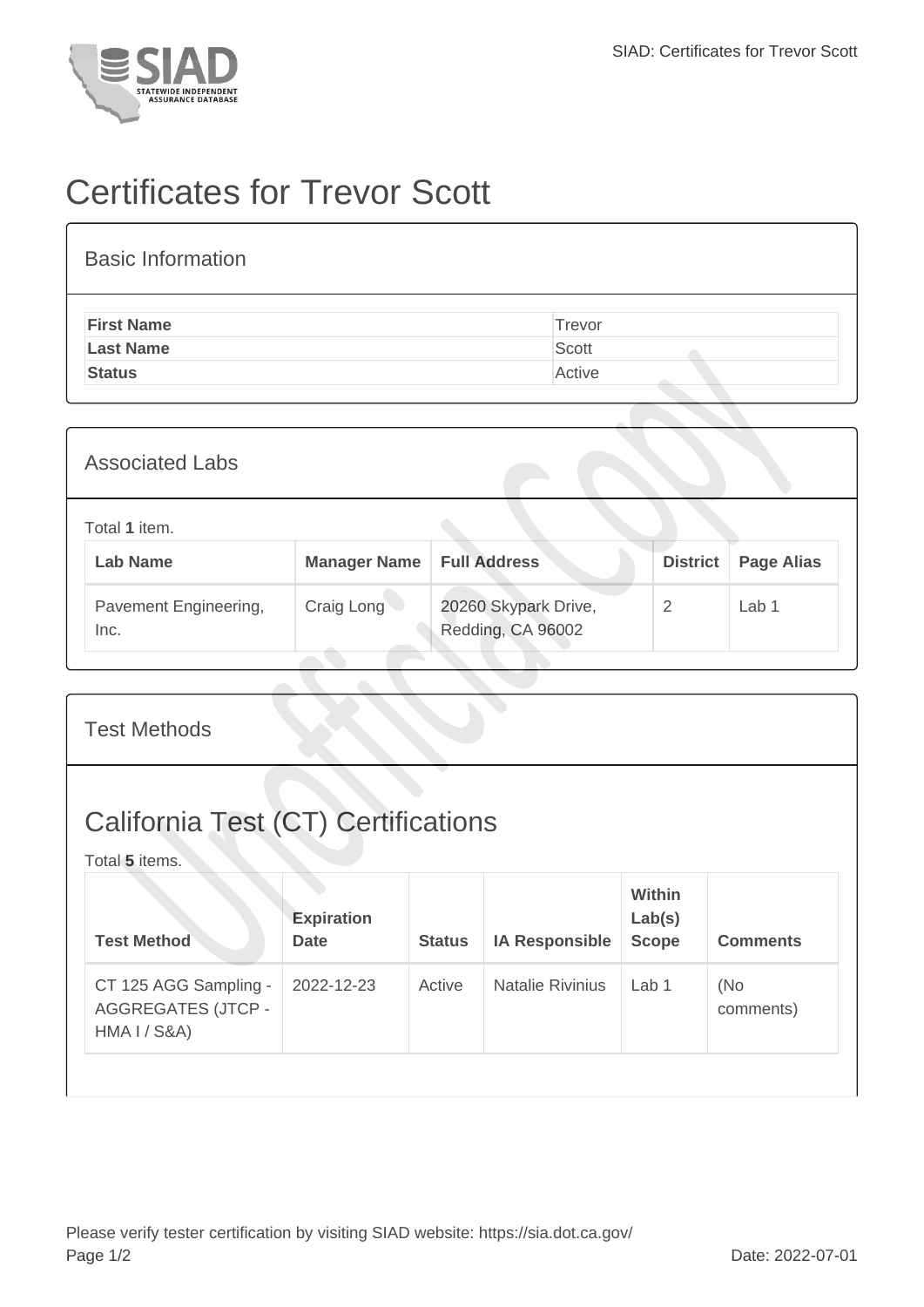

## Certificates for Trevor Scott

| <b>First Name</b> | Trevor |
|-------------------|--------|
| <b>Last Name</b>  | Scott  |
| <b>Status</b>     | Active |

| <b>Associated Labs</b>           |                     |                                           |                 |                   |
|----------------------------------|---------------------|-------------------------------------------|-----------------|-------------------|
| Total 1 item.<br><b>Lab Name</b> | <b>Manager Name</b> | <b>Full Address</b>                       | <b>District</b> | <b>Page Alias</b> |
| Pavement Engineering,<br>Inc.    | Craig Long          | 20260 Skypark Drive,<br>Redding, CA 96002 | 2               | Lab <sub>1</sub>  |

| <b>Test Methods</b>                                                           |                                  |               |                         |                                  |                  |  |
|-------------------------------------------------------------------------------|----------------------------------|---------------|-------------------------|----------------------------------|------------------|--|
| <b>California Test (CT) Certifications</b><br>Total 5 items.                  |                                  |               |                         |                                  |                  |  |
| <b>Test Method</b>                                                            | <b>Expiration</b><br><b>Date</b> | <b>Status</b> | <b>IA Responsible</b>   | Within<br>Lab(s)<br><b>Scope</b> | <b>Comments</b>  |  |
| CT 125 AGG Sampling -<br><b>AGGREGATES (JTCP -</b><br><b>HMA I / S&amp;A)</b> | 2022-12-23                       | Active        | <b>Natalie Rivinius</b> | Lab <sub>1</sub>                 | (No<br>comments) |  |